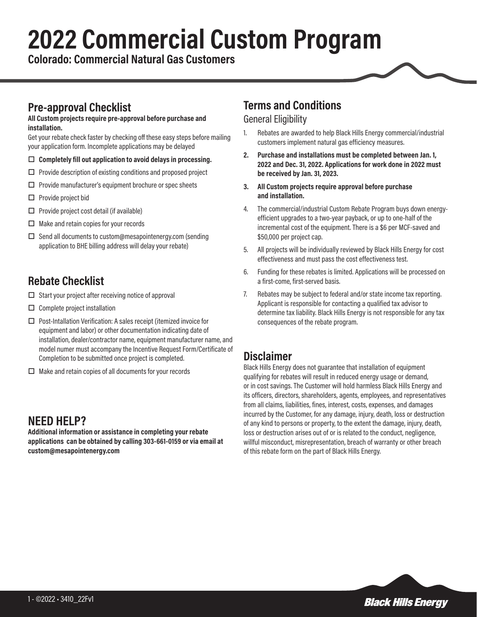# **2022 Commercial Custom Program**

**Colorado: Commercial Natural Gas Customers**

## **Pre-approval Checklist**

#### **All Custom projects require pre-approval before purchase and installation.**

Get your rebate check faster by checking off these easy steps before mailing your application form. Incomplete applications may be delayed

- □ Completely fill out application to avoid delays in processing.
- $\Box$  Provide description of existing conditions and proposed project
- $\Box$  Provide manufacturer's equipment brochure or spec sheets
- $\square$  Provide project bid
- $\Box$  Provide project cost detail (if available)
- $\Box$  Make and retain copies for your records
- $\Box$  Send all documents to custom@mesapointenergy.com (sending application to BHE billing address will delay your rebate)

## **Rebate Checklist**

- $\square$  Start your project after receiving notice of approval
- $\Box$  Complete project installation
- $\Box$  Post-Intallation Verification: A sales receipt (itemized invoice for equipment and labor) or other documentation indicating date of installation, dealer/contractor name, equipment manufacturer name, and model numer must accompany the Incentive Request Form/Certificate of Completion to be submitted once project is completed.
- $\Box$  Make and retain copies of all documents for your records

## **NEED HELP?**

**Additional information or assistance in completing your rebate applications can be obtained by calling 303-661-0159 or via email at custom@mesapointenergy.com**

#### **Terms and Conditions**

#### General Eligibility

- 1. Rebates are awarded to help Black Hills Energy commercial/industrial customers implement natural gas efficiency measures.
- **2. Purchase and installations must be completed between Jan. 1, 2022 and Dec. 31, 2022. Applications for work done in 2022 must be received by Jan. 31, 2023.**
- **3. All Custom projects require approval before purchase and installation.**
- 4. The commercial/industrial Custom Rebate Program buys down energyefficient upgrades to a two-year payback, or up to one-half of the incremental cost of the equipment. There is a \$6 per MCF-saved and \$50,000 per project cap.
- 5. All projects will be individually reviewed by Black Hills Energy for cost effectiveness and must pass the cost effectiveness test.
- 6. Funding for these rebates is limited. Applications will be processed on a first-come, first-served basis.
- 7. Rebates may be subject to federal and/or state income tax reporting. Applicant is responsible for contacting a qualified tax advisor to determine tax liability. Black Hills Energy is not responsible for any tax consequences of the rebate program.

#### **Disclaimer**

Black Hills Energy does not guarantee that installation of equipment qualifying for rebates will result in reduced energy usage or demand, or in cost savings. The Customer will hold harmless Black Hills Energy and its officers, directors, shareholders, agents, employees, and representatives from all claims, liabilities, fines, interest, costs, expenses, and damages incurred by the Customer, for any damage, injury, death, loss or destruction of any kind to persons or property, to the extent the damage, injury, death, loss or destruction arises out of or is related to the conduct, negligence, willful misconduct, misrepresentation, breach of warranty or other breach of this rebate form on the part of Black Hills Energy.

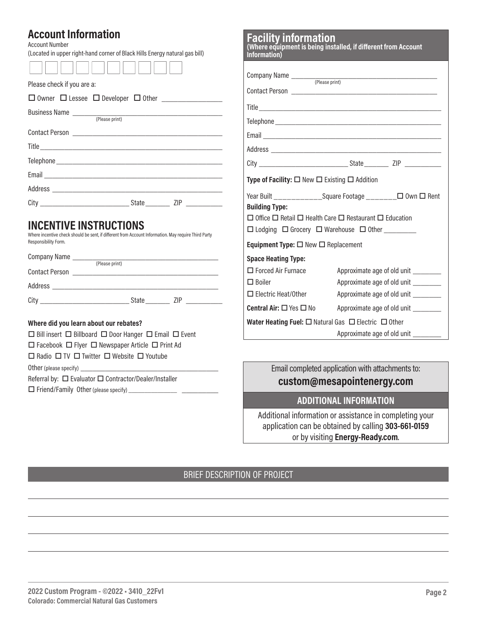### **Account Information**

| custom@mesanointenergy.com |                                                                                                                                                                            |                                                                                                                                                                                                                                                                                                                                                                                                                                                                                                                                                                                                                                                                                                                                            |
|----------------------------|----------------------------------------------------------------------------------------------------------------------------------------------------------------------------|--------------------------------------------------------------------------------------------------------------------------------------------------------------------------------------------------------------------------------------------------------------------------------------------------------------------------------------------------------------------------------------------------------------------------------------------------------------------------------------------------------------------------------------------------------------------------------------------------------------------------------------------------------------------------------------------------------------------------------------------|
|                            | Information)<br><b>Building Type:</b><br><b>Space Heating Type:</b><br>$\Box$ Forced Air Furnace<br>$\Box$ Boiler<br>$\Box$ Electric Heat/Other<br>Central Air: □ Yes □ No | <b>Facility Information</b><br>(Where equipment is being installed, if different from Account<br>Type of Facility: $\Box$ New $\Box$ Existing $\Box$ Addition<br>Year Built _______________Square Footage ________ □ 0wn □ Rent<br>$\Box$ Office $\Box$ Retail $\Box$ Health Care $\Box$ Restaurant $\Box$ Education<br>□ Lodging □ Grocery □ Warehouse □ Other _______<br>Equipment Type: □ New □ Replacement<br>Approximate age of old unit<br>Approximate age of old unit ________<br>Approximate age of old unit ________<br>Approximate age of old unit _________<br>Water Heating Fuel: $\Box$ Natural Gas $\Box$ Electric $\Box$ Other<br>Approximate age of old unit _________<br>Email completed application with attachments to: |

**Facility information**

**custom@mesapointenergy.com**

#### **ADDITIONAL INFORMATION**

Additional information or assistance in completing your application can be obtained by calling **303-661-0159** or by visiting **Energy-Ready.com**.

#### BRIEF DESCRIPTION OF PROJECT

 $\Box$  Friend/Family Other (please specify)  $\_$